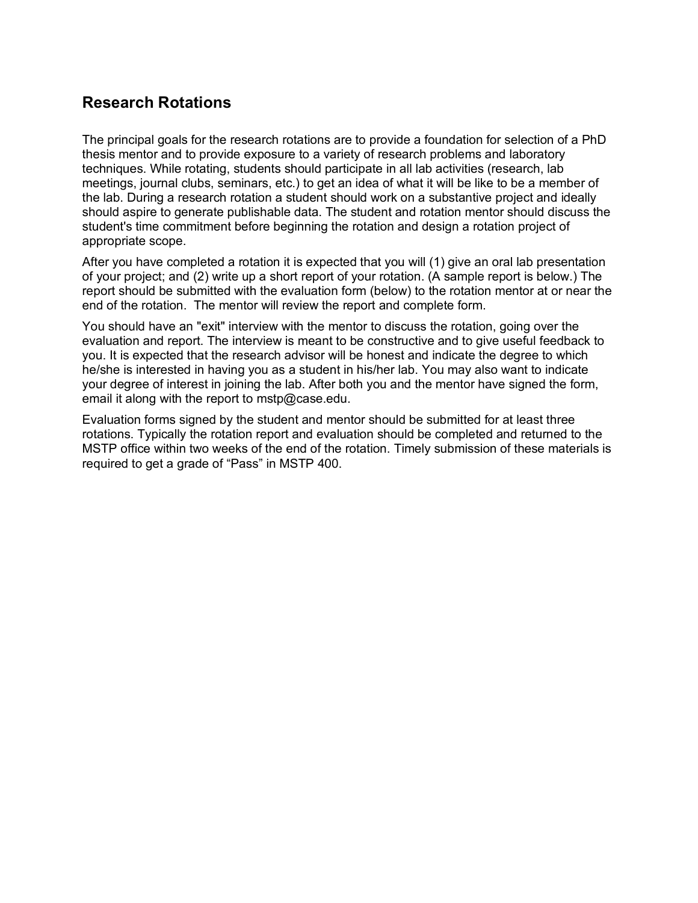# **Research Rotations**

The principal goals for the research rotations are to provide a foundation for selection of a PhD thesis mentor and to provide exposure to a variety of research problems and laboratory techniques. While rotating, students should participate in all lab activities (research, lab meetings, journal clubs, seminars, etc.) to get an idea of what it will be like to be a member of the lab. During a research rotation a student should work on a substantive project and ideally should aspire to generate publishable data. The student and rotation mentor should discuss the student's time commitment before beginning the rotation and design a rotation project of appropriate scope.

After you have completed a rotation it is expected that you will (1) give an oral lab presentation of your project; and (2) write up a short report of your rotation. (A sample report is below.) The report should be submitted with the evaluation form (below) to the rotation mentor at or near the end of the rotation. The mentor will review the report and complete form.

You should have an "exit" interview with the mentor to discuss the rotation, going over the evaluation and report. The interview is meant to be constructive and to give useful feedback to you. It is expected that the research advisor will be honest and indicate the degree to which he/she is interested in having you as a student in his/her lab. You may also want to indicate your degree of interest in joining the lab. After both you and the mentor have signed the form, email it along with the report to mstp@case.edu.

Evaluation forms signed by the student and mentor should be submitted for at least three rotations. Typically the rotation report and evaluation should be completed and returned to the MSTP office within two weeks of the end of the rotation. Timely submission of these materials is required to get a grade of "Pass" in MSTP 400.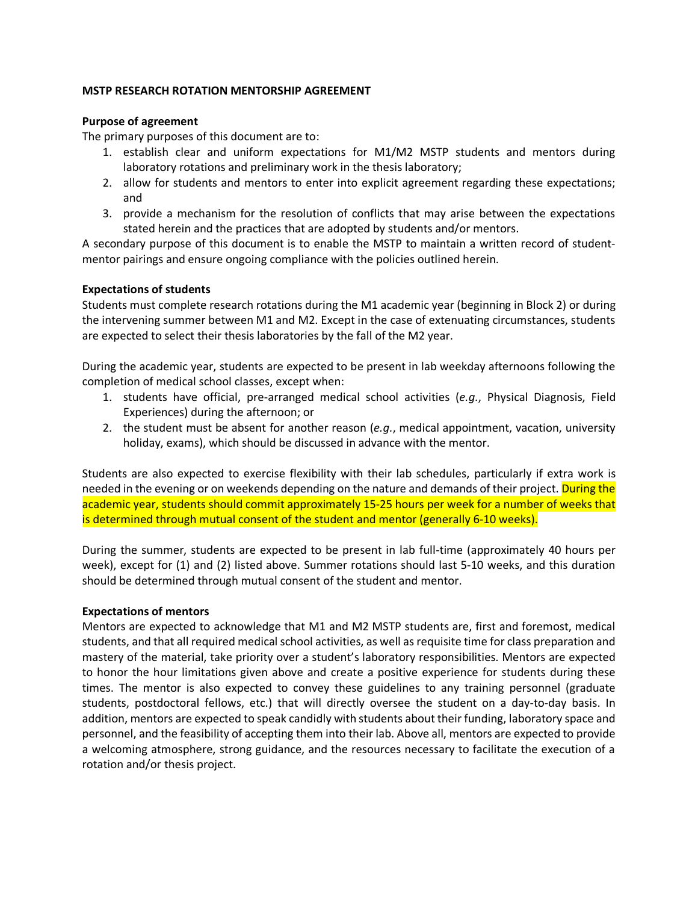### **MSTP RESEARCH ROTATION MENTORSHIP AGREEMENT**

### **Purpose of agreement**

The primary purposes of this document are to:

- 1. establish clear and uniform expectations for M1/M2 MSTP students and mentors during laboratory rotations and preliminary work in the thesis laboratory;
- 2. allow for students and mentors to enter into explicit agreement regarding these expectations; and
- 3. provide a mechanism for the resolution of conflicts that may arise between the expectations stated herein and the practices that are adopted by students and/or mentors.

A secondary purpose of this document is to enable the MSTP to maintain a written record of studentmentor pairings and ensure ongoing compliance with the policies outlined herein.

### **Expectations of students**

Students must complete research rotations during the M1 academic year (beginning in Block 2) or during the intervening summer between M1 and M2. Except in the case of extenuating circumstances, students are expected to select their thesis laboratories by the fall of the M2 year.

During the academic year, students are expected to be present in lab weekday afternoons following the completion of medical school classes, except when:

- 1. students have official, pre-arranged medical school activities (*e.g.*, Physical Diagnosis, Field Experiences) during the afternoon; or
- 2. the student must be absent for another reason (*e.g.*, medical appointment, vacation, university holiday, exams), which should be discussed in advance with the mentor.

Students are also expected to exercise flexibility with their lab schedules, particularly if extra work is needed in the evening or on weekends depending on the nature and demands of their project. During the academic year, students should commit approximately 15-25 hours per week for a number of weeks that is determined through mutual consent of the student and mentor (generally 6-10 weeks).

During the summer, students are expected to be present in lab full-time (approximately 40 hours per week), except for (1) and (2) listed above. Summer rotations should last 5-10 weeks, and this duration should be determined through mutual consent of the student and mentor.

#### **Expectations of mentors**

Mentors are expected to acknowledge that M1 and M2 MSTP students are, first and foremost, medical students, and that all required medical school activities, as well as requisite time for class preparation and mastery of the material, take priority over a student's laboratory responsibilities. Mentors are expected to honor the hour limitations given above and create a positive experience for students during these times. The mentor is also expected to convey these guidelines to any training personnel (graduate students, postdoctoral fellows, etc.) that will directly oversee the student on a day-to-day basis. In addition, mentors are expected to speak candidly with students about their funding, laboratory space and personnel, and the feasibility of accepting them into their lab. Above all, mentors are expected to provide a welcoming atmosphere, strong guidance, and the resources necessary to facilitate the execution of a rotation and/or thesis project.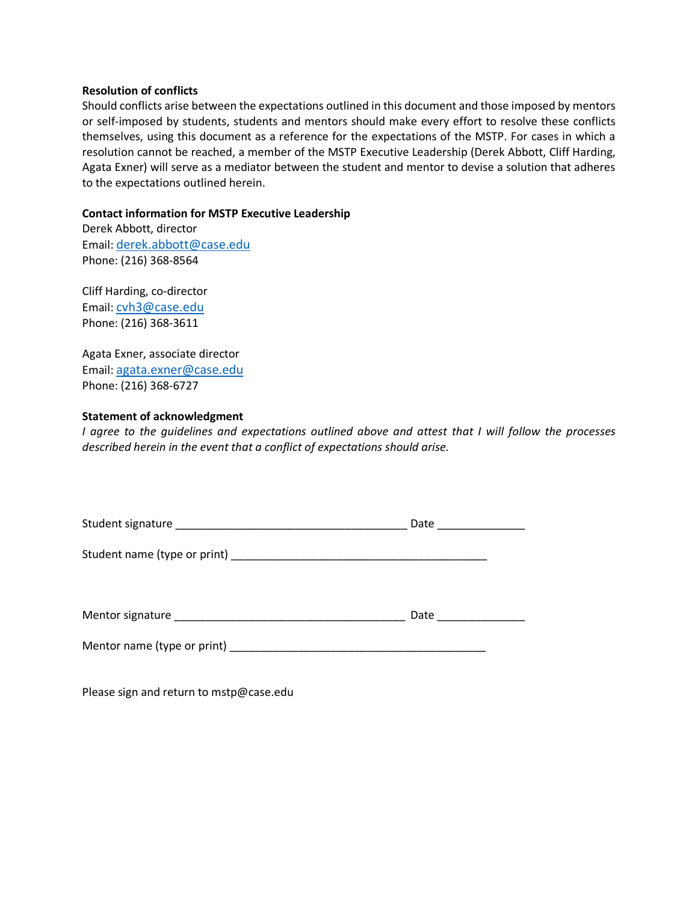#### **Resolution of conflicts**

Should conflicts arise between the expectations outlined in this document and those imposed by mentors or self-imposed by students, students and mentors should make every effort to resolve these conflicts themselves, using this document as a reference for the expectations of the MSTP. For cases in which a resolution cannot be reached, a member of the MSTP Executive Leadership (Derek Abbott, Cliff Harding, Agata Exner) will serve as a mediator between the student and mentor to devise a solution that adheres to the expectations outlined herein.

#### **Contact information for MSTP Executive Leadership**

Derek Abbott, director Email: derek.abbott@case.edu Phone: (216) 368-8564

Cliff Harding, co-director Email: cvh3@case.edu Phone: (216) 368-3611

Agata Exner, associate director Email: agata.exner@case.edu Phone: (216) 368-6727

#### **Statement of acknowledgment**

*I agree to the guidelines and expectations outlined above and attest that I will follow the processes described herein in the event that a conflict of expectations should arise.*

|                             | Date ________________ |  |  |  |
|-----------------------------|-----------------------|--|--|--|
|                             |                       |  |  |  |
|                             | Date                  |  |  |  |
| Mentor name (type or print) |                       |  |  |  |

Please sign and return to mstp@case.edu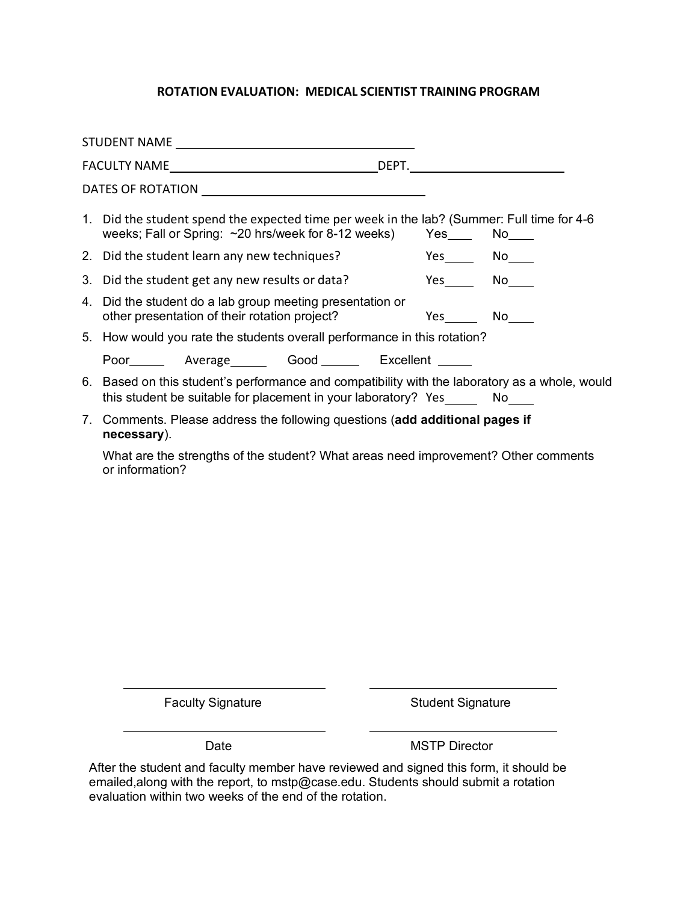# **ROTATION EVALUATION: MEDICAL SCIENTIST TRAINING PROGRAM**

| 1. Did the student spend the expected time per week in the lab? (Summer: Full time for 4-6<br>weeks; Fall or Spring: ~20 hrs/week for 8-12 weeks) Yes No                         |               |  |
|----------------------------------------------------------------------------------------------------------------------------------------------------------------------------------|---------------|--|
| 2. Did the student learn any new techniques?                                                                                                                                     | $Yes$ No $No$ |  |
| 3. Did the student get any new results or data?                                                                                                                                  | Yes No        |  |
| 4. Did the student do a lab group meeting presentation or<br>other presentation of their rotation project?                                                                       | Yes No        |  |
| 5. How would you rate the students overall performance in this rotation?                                                                                                         |               |  |
| Poor________ Average Good ________ Excellent ______                                                                                                                              |               |  |
| 6. Based on this student's performance and compatibility with the laboratory as a whole, would<br>this student be suitable for placement in your laboratory? Yes _______ No_____ |               |  |
| 7. Comments. Please address the following questions (add additional pages if<br>necessary).                                                                                      |               |  |

What are the strengths of the student? What areas need improvement? Other comments or information?

Faculty Signature **Student Signature** Student Signature

Date MSTP Director

After the student and faculty member have reviewed and signed this form, it should be emailed,along with the report, to mstp@case.edu. Students should submit a rotation evaluation within two weeks of the end of the rotation.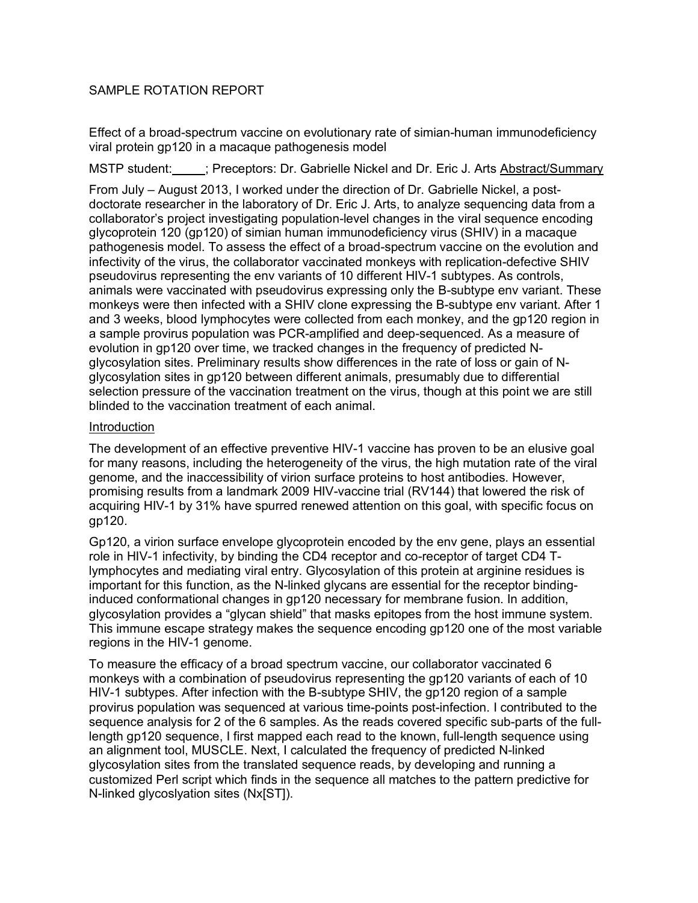# SAMPLE ROTATION REPORT

Effect of a broad-spectrum vaccine on evolutionary rate of simian-human immunodeficiency viral protein gp120 in a macaque pathogenesis model

MSTP student: ; Preceptors: Dr. Gabrielle Nickel and Dr. Eric J. Arts Abstract/Summary

From July – August 2013, I worked under the direction of Dr. Gabrielle Nickel, a postdoctorate researcher in the laboratory of Dr. Eric J. Arts, to analyze sequencing data from a collaborator's project investigating population-level changes in the viral sequence encoding glycoprotein 120 (gp120) of simian human immunodeficiency virus (SHIV) in a macaque pathogenesis model. To assess the effect of a broad-spectrum vaccine on the evolution and infectivity of the virus, the collaborator vaccinated monkeys with replication-defective SHIV pseudovirus representing the env variants of 10 different HIV-1 subtypes. As controls, animals were vaccinated with pseudovirus expressing only the B-subtype env variant. These monkeys were then infected with a SHIV clone expressing the B-subtype env variant. After 1 and 3 weeks, blood lymphocytes were collected from each monkey, and the gp120 region in a sample provirus population was PCR-amplified and deep-sequenced. As a measure of evolution in gp120 over time, we tracked changes in the frequency of predicted Nglycosylation sites. Preliminary results show differences in the rate of loss or gain of Nglycosylation sites in gp120 between different animals, presumably due to differential selection pressure of the vaccination treatment on the virus, though at this point we are still blinded to the vaccination treatment of each animal.

## Introduction

The development of an effective preventive HIV-1 vaccine has proven to be an elusive goal for many reasons, including the heterogeneity of the virus, the high mutation rate of the viral genome, and the inaccessibility of virion surface proteins to host antibodies. However, promising results from a landmark 2009 HIV-vaccine trial (RV144) that lowered the risk of acquiring HIV-1 by 31% have spurred renewed attention on this goal, with specific focus on gp120.

Gp120, a virion surface envelope glycoprotein encoded by the env gene, plays an essential role in HIV-1 infectivity, by binding the CD4 receptor and co-receptor of target CD4 Tlymphocytes and mediating viral entry. Glycosylation of this protein at arginine residues is important for this function, as the N-linked glycans are essential for the receptor bindinginduced conformational changes in gp120 necessary for membrane fusion. In addition, glycosylation provides a "glycan shield" that masks epitopes from the host immune system. This immune escape strategy makes the sequence encoding gp120 one of the most variable regions in the HIV-1 genome.

To measure the efficacy of a broad spectrum vaccine, our collaborator vaccinated 6 monkeys with a combination of pseudovirus representing the gp120 variants of each of 10 HIV-1 subtypes. After infection with the B-subtype SHIV, the gp120 region of a sample provirus population was sequenced at various time-points post-infection. I contributed to the sequence analysis for 2 of the 6 samples. As the reads covered specific sub-parts of the fulllength gp120 sequence, I first mapped each read to the known, full-length sequence using an alignment tool, MUSCLE. Next, I calculated the frequency of predicted N-linked glycosylation sites from the translated sequence reads, by developing and running a customized Perl script which finds in the sequence all matches to the pattern predictive for N-linked glycoslyation sites (Nx[ST]).